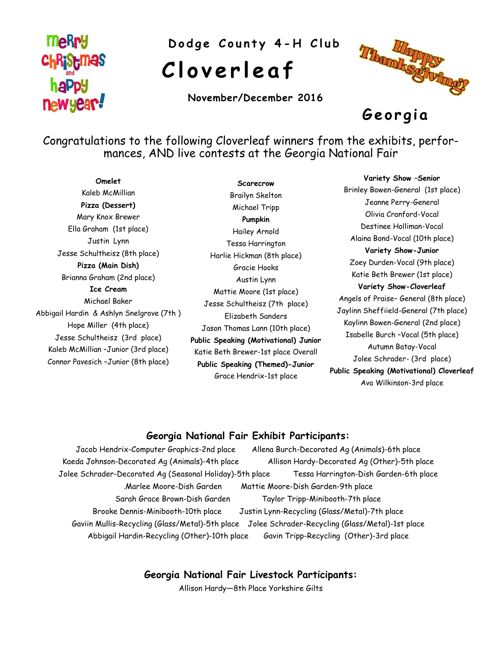## **MeRry Christmas haPpy** newyear!

Dodge County 4-H Club

# **C l o v e r l e a f**

**November/December 2016**



**G e o r gi a** 

Congratulations to the following Cloverleaf winners from the exhibits, performances, AND live contests at the Georgia National Fair

**Omelet** Kaleb McMillian **Pizza (Dessert)** Mary Knox Brewer Ella Graham (1st place) Justin Lynn Jesse Schultheisz (8th place) **Pizza (Main Dish)** Brianna Graham (2nd place) **Ice Cream** Michael Baker Abbigail Hardin & Ashlyn Snelgrove (7th ) Hope Miller (4th place) Jesse Schultheisz (3rd place) Kaleb McMillian –Junior (3rd place) Connor Pavesich –Junior (8th place)

**Scarecrow** Brailyn Skelton Michael Tripp **Pumpkin** Hailey Arnold Tessa Harrington Harlie Hickman (8th place) Gracie Hooks Austin Lynn Mattie Moore (1st place) Jesse Schultheisz (7th place) Elizabeth Sanders Jason Thomas Lann (10th place) **Public Speaking (Motivational) Junior** Katie Beth Brewer-1st place Overall **Public Speaking (Themed)-Junior** Grace Hendrix-1st place

**Variety Show –Senior** Brinley Bowen-General (1st place) Jeanne Perry-General Olivia Cranford-Vocal Destinee Holliman-Vocal Alaina Bond-Vocal (10th place) **Variety Show-Junior** Zoey Durden-Vocal (9th place) Katie Beth Brewer (1st place) **Variety Show-Cloverleaf** Angels of Praise– General (8th place) Jaylinn Sheffiield-General (7th place) Kaylinn Bowen-General (2nd place) Isabelle Burch –Vocal (5th place) Autumn Batay-Vocal Jolee Schrader- (3rd place) **Public Speaking (Motivational) Cloverleaf** Ava Wilkinson-3rd place

#### **Georgia National Fair Exhibit Participants:**

Jacob Hendrix-Computer Graphics-2nd place Allena Burch-Decorated Ag (Animals)-6th place Kaeda Johnson-Decorated Ag (Animals)-4th place Allison Hardy-Decorated Ag (Other)-5th place Jolee Schrader-Decorated Ag (Seasonal Holiday)-5th place Tessa Harrington-Dish Garden-6th place .Marlee Moore-Dish Garden Mattie Moore-Dish Garden-9th place Sarah Grace Brown-Dish Garden Taylor Tripp-Minibooth-7th place Brooke Dennis-Minibooth-10th place Justin Lynn-Recycling (Glass/Metal)-7th place Gaviin Mullis-Recycling (Glass/Metal)-5th place Jolee Schrader-Recycling (Glass/Metal)-1st place Abbigail Hardin-Recycling (Other)-10th place Gavin Tripp-Recycling (Other)-3rd place

**Georgia National Fair Livestock Participants:**

Allison Hardy—8th Place Yorkshire Gilts